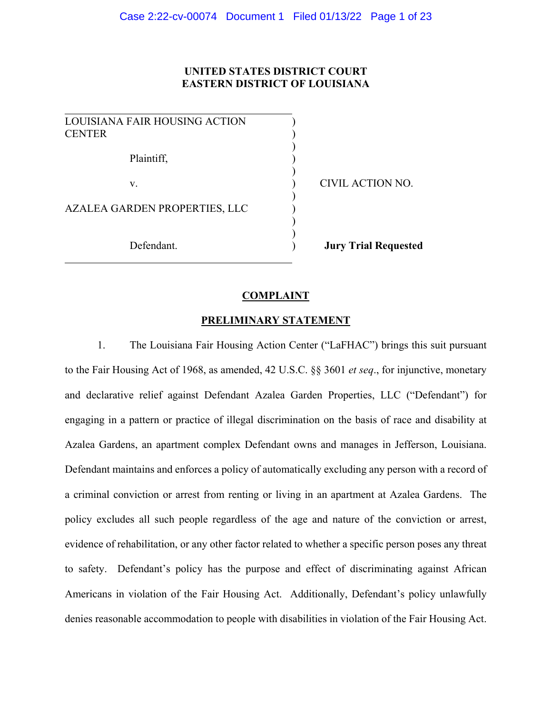# **UNITED STATES DISTRICT COURT EASTERN DISTRICT OF LOUISIANA**

| LOUISIANA FAIR HOUSING ACTION<br><b>CENTER</b> |  |
|------------------------------------------------|--|
| Plaintiff,                                     |  |
| V.                                             |  |
| AZALEA GARDEN PROPERTIES, LLC                  |  |
| Defendant.                                     |  |

CIVIL ACTION NO.

**Definition Jury Trial Requested** 

### **COMPLAINT**

### **PRELIMINARY STATEMENT**

1. The Louisiana Fair Housing Action Center ("LaFHAC") brings this suit pursuant to the Fair Housing Act of 1968, as amended, 42 U.S.C. §§ 3601 *et seq*., for injunctive, monetary and declarative relief against Defendant Azalea Garden Properties, LLC ("Defendant") for engaging in a pattern or practice of illegal discrimination on the basis of race and disability at Azalea Gardens, an apartment complex Defendant owns and manages in Jefferson, Louisiana. Defendant maintains and enforces a policy of automatically excluding any person with a record of a criminal conviction or arrest from renting or living in an apartment at Azalea Gardens. The policy excludes all such people regardless of the age and nature of the conviction or arrest, evidence of rehabilitation, or any other factor related to whether a specific person poses any threat to safety. Defendant's policy has the purpose and effect of discriminating against African Americans in violation of the Fair Housing Act. Additionally, Defendant's policy unlawfully denies reasonable accommodation to people with disabilities in violation of the Fair Housing Act.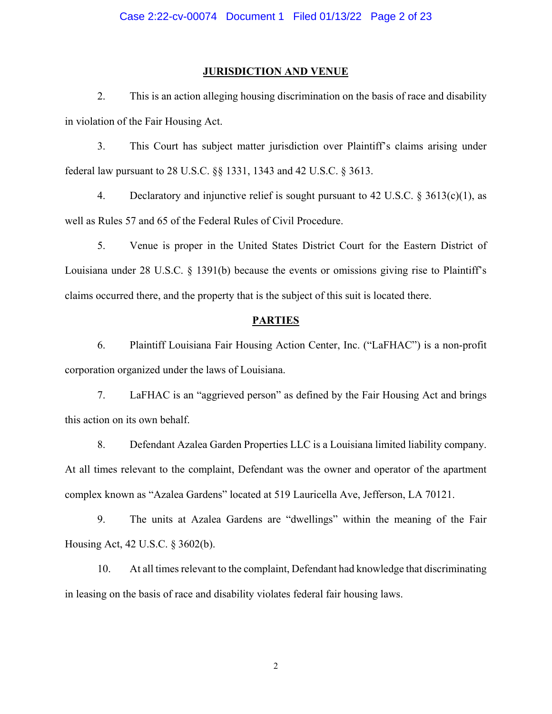#### **JURISDICTION AND VENUE**

2. This is an action alleging housing discrimination on the basis of race and disability in violation of the Fair Housing Act.

3. This Court has subject matter jurisdiction over Plaintiff's claims arising under federal law pursuant to 28 U.S.C. §§ 1331, 1343 and 42 U.S.C. § 3613.

4. Declaratory and injunctive relief is sought pursuant to 42 U.S.C.  $\S 3613(c)(1)$ , as well as Rules 57 and 65 of the Federal Rules of Civil Procedure.

5. Venue is proper in the United States District Court for the Eastern District of Louisiana under 28 U.S.C. § 1391(b) because the events or omissions giving rise to Plaintiff's claims occurred there, and the property that is the subject of this suit is located there.

## **PARTIES**

6. Plaintiff Louisiana Fair Housing Action Center, Inc. ("LaFHAC") is a non-profit corporation organized under the laws of Louisiana.

7. LaFHAC is an "aggrieved person" as defined by the Fair Housing Act and brings this action on its own behalf.

8. Defendant Azalea Garden Properties LLC is a Louisiana limited liability company. At all times relevant to the complaint, Defendant was the owner and operator of the apartment complex known as "Azalea Gardens" located at 519 Lauricella Ave, Jefferson, LA 70121.

9. The units at Azalea Gardens are "dwellings" within the meaning of the Fair Housing Act, 42 U.S.C. § 3602(b).

10. At all times relevant to the complaint, Defendant had knowledge that discriminating in leasing on the basis of race and disability violates federal fair housing laws.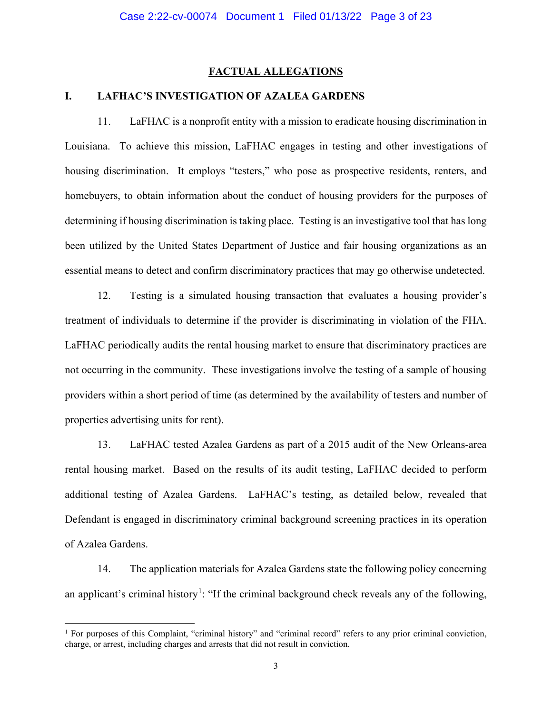# **FACTUAL ALLEGATIONS**

# **I. LAFHAC'S INVESTIGATION OF AZALEA GARDENS**

11. LaFHAC is a nonprofit entity with a mission to eradicate housing discrimination in Louisiana. To achieve this mission, LaFHAC engages in testing and other investigations of housing discrimination. It employs "testers," who pose as prospective residents, renters, and homebuyers, to obtain information about the conduct of housing providers for the purposes of determining if housing discrimination is taking place. Testing is an investigative tool that has long been utilized by the United States Department of Justice and fair housing organizations as an essential means to detect and confirm discriminatory practices that may go otherwise undetected.

12. Testing is a simulated housing transaction that evaluates a housing provider's treatment of individuals to determine if the provider is discriminating in violation of the FHA. LaFHAC periodically audits the rental housing market to ensure that discriminatory practices are not occurring in the community. These investigations involve the testing of a sample of housing providers within a short period of time (as determined by the availability of testers and number of properties advertising units for rent).

13. LaFHAC tested Azalea Gardens as part of a 2015 audit of the New Orleans-area rental housing market. Based on the results of its audit testing, LaFHAC decided to perform additional testing of Azalea Gardens. LaFHAC's testing, as detailed below, revealed that Defendant is engaged in discriminatory criminal background screening practices in its operation of Azalea Gardens.

14. The application materials for Azalea Gardens state the following policy concerning an applicant's criminal history<sup>[1](#page-2-0)</sup>: "If the criminal background check reveals any of the following,

<span id="page-2-0"></span><sup>&</sup>lt;sup>1</sup> For purposes of this Complaint, "criminal history" and "criminal record" refers to any prior criminal conviction, charge, or arrest, including charges and arrests that did not result in conviction.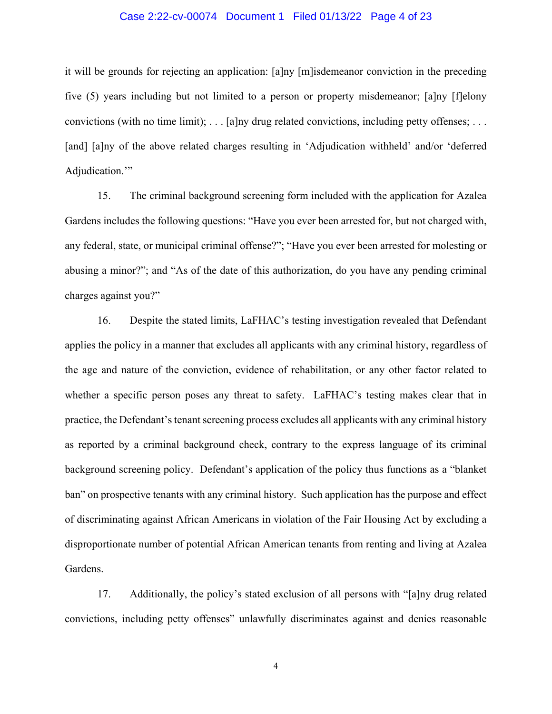### Case 2:22-cv-00074 Document 1 Filed 01/13/22 Page 4 of 23

it will be grounds for rejecting an application: [a]ny [m]isdemeanor conviction in the preceding five (5) years including but not limited to a person or property misdemeanor; [a]ny [f]elony convictions (with no time limit);  $\dots$  [a]ny drug related convictions, including petty offenses;  $\dots$ [and] [a]ny of the above related charges resulting in 'Adjudication withheld' and/or 'deferred Adjudication."

15. The criminal background screening form included with the application for Azalea Gardens includes the following questions: "Have you ever been arrested for, but not charged with, any federal, state, or municipal criminal offense?"; "Have you ever been arrested for molesting or abusing a minor?"; and "As of the date of this authorization, do you have any pending criminal charges against you?"

16. Despite the stated limits, LaFHAC's testing investigation revealed that Defendant applies the policy in a manner that excludes all applicants with any criminal history, regardless of the age and nature of the conviction, evidence of rehabilitation, or any other factor related to whether a specific person poses any threat to safety. LaFHAC's testing makes clear that in practice, the Defendant's tenant screening process excludes all applicants with any criminal history as reported by a criminal background check, contrary to the express language of its criminal background screening policy. Defendant's application of the policy thus functions as a "blanket ban" on prospective tenants with any criminal history. Such application has the purpose and effect of discriminating against African Americans in violation of the Fair Housing Act by excluding a disproportionate number of potential African American tenants from renting and living at Azalea Gardens.

17. Additionally, the policy's stated exclusion of all persons with "[a]ny drug related convictions, including petty offenses" unlawfully discriminates against and denies reasonable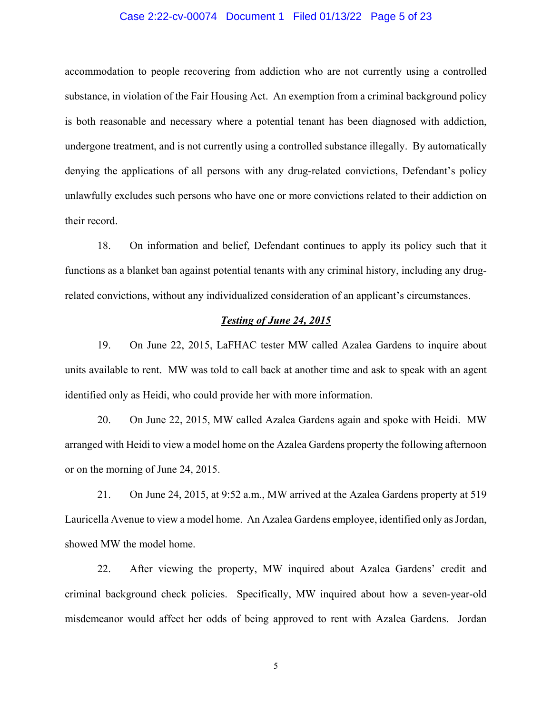### Case 2:22-cv-00074 Document 1 Filed 01/13/22 Page 5 of 23

accommodation to people recovering from addiction who are not currently using a controlled substance, in violation of the Fair Housing Act. An exemption from a criminal background policy is both reasonable and necessary where a potential tenant has been diagnosed with addiction, undergone treatment, and is not currently using a controlled substance illegally. By automatically denying the applications of all persons with any drug-related convictions, Defendant's policy unlawfully excludes such persons who have one or more convictions related to their addiction on their record.

18. On information and belief, Defendant continues to apply its policy such that it functions as a blanket ban against potential tenants with any criminal history, including any drugrelated convictions, without any individualized consideration of an applicant's circumstances.

### *Testing of June 24, 2015*

19. On June 22, 2015, LaFHAC tester MW called Azalea Gardens to inquire about units available to rent. MW was told to call back at another time and ask to speak with an agent identified only as Heidi, who could provide her with more information.

20. On June 22, 2015, MW called Azalea Gardens again and spoke with Heidi. MW arranged with Heidi to view a model home on the Azalea Gardens property the following afternoon or on the morning of June 24, 2015.

21. On June 24, 2015, at 9:52 a.m., MW arrived at the Azalea Gardens property at 519 Lauricella Avenue to view a model home. An Azalea Gardens employee, identified only as Jordan, showed MW the model home.

22. After viewing the property, MW inquired about Azalea Gardens' credit and criminal background check policies. Specifically, MW inquired about how a seven-year-old misdemeanor would affect her odds of being approved to rent with Azalea Gardens. Jordan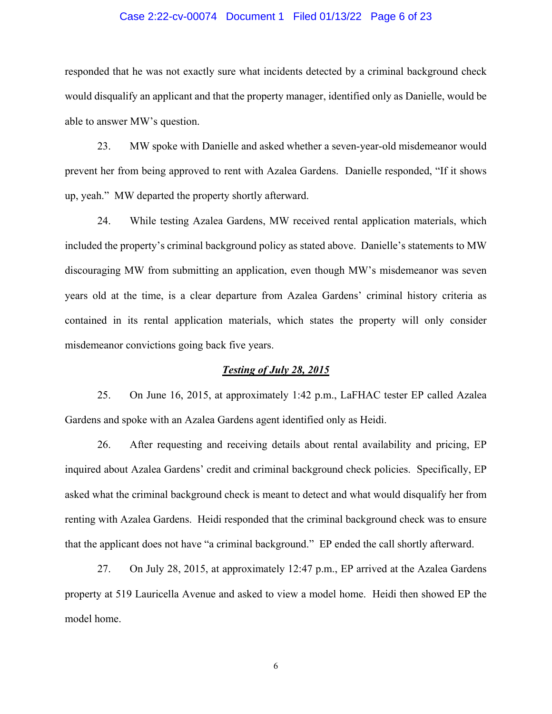### Case 2:22-cv-00074 Document 1 Filed 01/13/22 Page 6 of 23

responded that he was not exactly sure what incidents detected by a criminal background check would disqualify an applicant and that the property manager, identified only as Danielle, would be able to answer MW's question.

23. MW spoke with Danielle and asked whether a seven-year-old misdemeanor would prevent her from being approved to rent with Azalea Gardens. Danielle responded, "If it shows up, yeah." MW departed the property shortly afterward.

24. While testing Azalea Gardens, MW received rental application materials, which included the property's criminal background policy as stated above. Danielle's statements to MW discouraging MW from submitting an application, even though MW's misdemeanor was seven years old at the time, is a clear departure from Azalea Gardens' criminal history criteria as contained in its rental application materials, which states the property will only consider misdemeanor convictions going back five years.

### *Testing of July 28, 2015*

25. On June 16, 2015, at approximately 1:42 p.m., LaFHAC tester EP called Azalea Gardens and spoke with an Azalea Gardens agent identified only as Heidi.

26. After requesting and receiving details about rental availability and pricing, EP inquired about Azalea Gardens' credit and criminal background check policies. Specifically, EP asked what the criminal background check is meant to detect and what would disqualify her from renting with Azalea Gardens. Heidi responded that the criminal background check was to ensure that the applicant does not have "a criminal background." EP ended the call shortly afterward.

27. On July 28, 2015, at approximately 12:47 p.m., EP arrived at the Azalea Gardens property at 519 Lauricella Avenue and asked to view a model home. Heidi then showed EP the model home.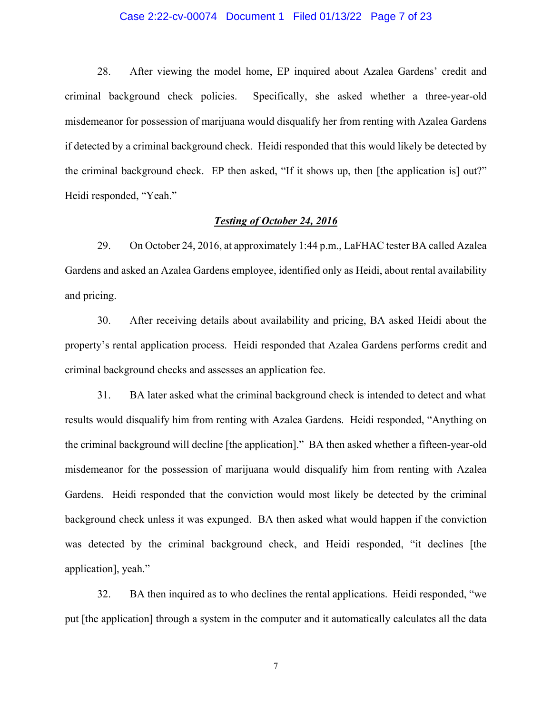### Case 2:22-cv-00074 Document 1 Filed 01/13/22 Page 7 of 23

28. After viewing the model home, EP inquired about Azalea Gardens' credit and criminal background check policies. Specifically, she asked whether a three-year-old misdemeanor for possession of marijuana would disqualify her from renting with Azalea Gardens if detected by a criminal background check. Heidi responded that this would likely be detected by the criminal background check. EP then asked, "If it shows up, then [the application is] out?" Heidi responded, "Yeah."

### *Testing of October 24, 2016*

29. On October 24, 2016, at approximately 1:44 p.m., LaFHAC tester BA called Azalea Gardens and asked an Azalea Gardens employee, identified only as Heidi, about rental availability and pricing.

30. After receiving details about availability and pricing, BA asked Heidi about the property's rental application process. Heidi responded that Azalea Gardens performs credit and criminal background checks and assesses an application fee.

31. BA later asked what the criminal background check is intended to detect and what results would disqualify him from renting with Azalea Gardens. Heidi responded, "Anything on the criminal background will decline [the application]." BA then asked whether a fifteen-year-old misdemeanor for the possession of marijuana would disqualify him from renting with Azalea Gardens. Heidi responded that the conviction would most likely be detected by the criminal background check unless it was expunged. BA then asked what would happen if the conviction was detected by the criminal background check, and Heidi responded, "it declines [the application], yeah."

32. BA then inquired as to who declines the rental applications. Heidi responded, "we put [the application] through a system in the computer and it automatically calculates all the data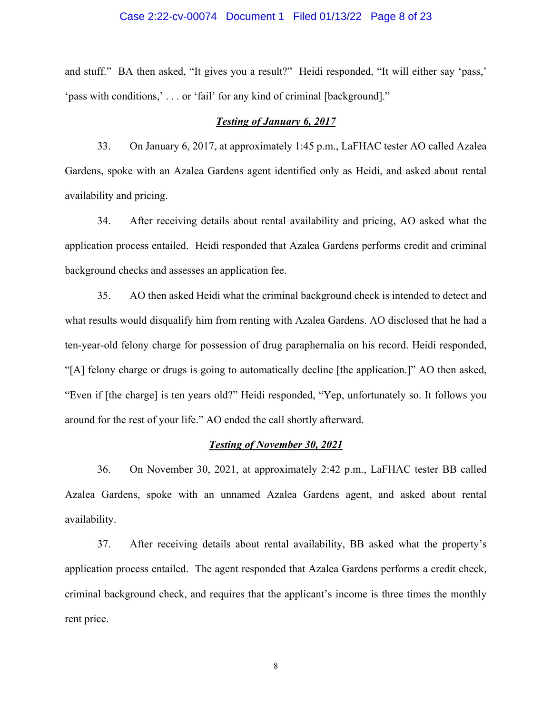### Case 2:22-cv-00074 Document 1 Filed 01/13/22 Page 8 of 23

and stuff." BA then asked, "It gives you a result?" Heidi responded, "It will either say 'pass,' 'pass with conditions,' . . . or 'fail' for any kind of criminal [background]."

### *Testing of January 6, 2017*

33. On January 6, 2017, at approximately 1:45 p.m., LaFHAC tester AO called Azalea Gardens, spoke with an Azalea Gardens agent identified only as Heidi, and asked about rental availability and pricing.

34. After receiving details about rental availability and pricing, AO asked what the application process entailed. Heidi responded that Azalea Gardens performs credit and criminal background checks and assesses an application fee.

35. AO then asked Heidi what the criminal background check is intended to detect and what results would disqualify him from renting with Azalea Gardens. AO disclosed that he had a ten-year-old felony charge for possession of drug paraphernalia on his record. Heidi responded, "[A] felony charge or drugs is going to automatically decline [the application.]" AO then asked, "Even if [the charge] is ten years old?" Heidi responded, "Yep, unfortunately so. It follows you around for the rest of your life." AO ended the call shortly afterward.

#### *Testing of November 30, 2021*

36. On November 30, 2021, at approximately 2:42 p.m., LaFHAC tester BB called Azalea Gardens, spoke with an unnamed Azalea Gardens agent, and asked about rental availability.

37. After receiving details about rental availability, BB asked what the property's application process entailed. The agent responded that Azalea Gardens performs a credit check, criminal background check, and requires that the applicant's income is three times the monthly rent price.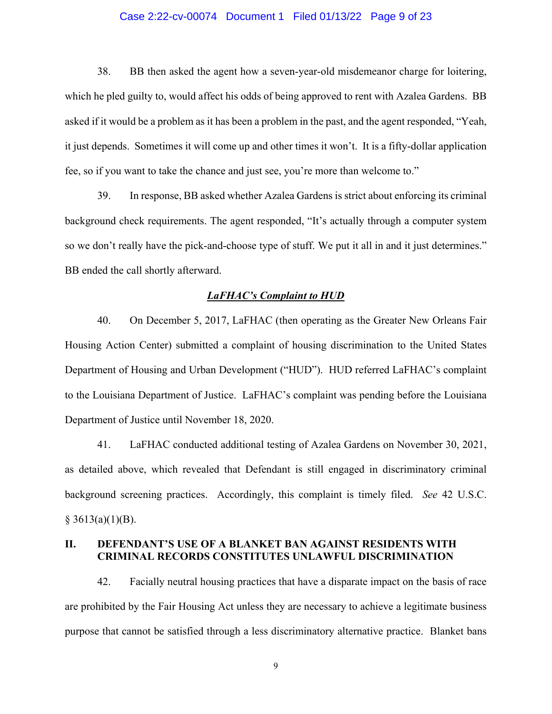### Case 2:22-cv-00074 Document 1 Filed 01/13/22 Page 9 of 23

38. BB then asked the agent how a seven-year-old misdemeanor charge for loitering, which he pled guilty to, would affect his odds of being approved to rent with Azalea Gardens. BB asked if it would be a problem as it has been a problem in the past, and the agent responded, "Yeah, it just depends. Sometimes it will come up and other times it won't. It is a fifty-dollar application fee, so if you want to take the chance and just see, you're more than welcome to."

39. In response, BB asked whether Azalea Gardens is strict about enforcing its criminal background check requirements. The agent responded, "It's actually through a computer system so we don't really have the pick-and-choose type of stuff. We put it all in and it just determines." BB ended the call shortly afterward.

#### *LaFHAC's Complaint to HUD*

40. On December 5, 2017, LaFHAC (then operating as the Greater New Orleans Fair Housing Action Center) submitted a complaint of housing discrimination to the United States Department of Housing and Urban Development ("HUD"). HUD referred LaFHAC's complaint to the Louisiana Department of Justice. LaFHAC's complaint was pending before the Louisiana Department of Justice until November 18, 2020.

41. LaFHAC conducted additional testing of Azalea Gardens on November 30, 2021, as detailed above, which revealed that Defendant is still engaged in discriminatory criminal background screening practices. Accordingly, this complaint is timely filed. *See* 42 U.S.C.  $§$  3613(a)(1)(B).

## **II. DEFENDANT'S USE OF A BLANKET BAN AGAINST RESIDENTS WITH CRIMINAL RECORDS CONSTITUTES UNLAWFUL DISCRIMINATION**

42. Facially neutral housing practices that have a disparate impact on the basis of race are prohibited by the Fair Housing Act unless they are necessary to achieve a legitimate business purpose that cannot be satisfied through a less discriminatory alternative practice. Blanket bans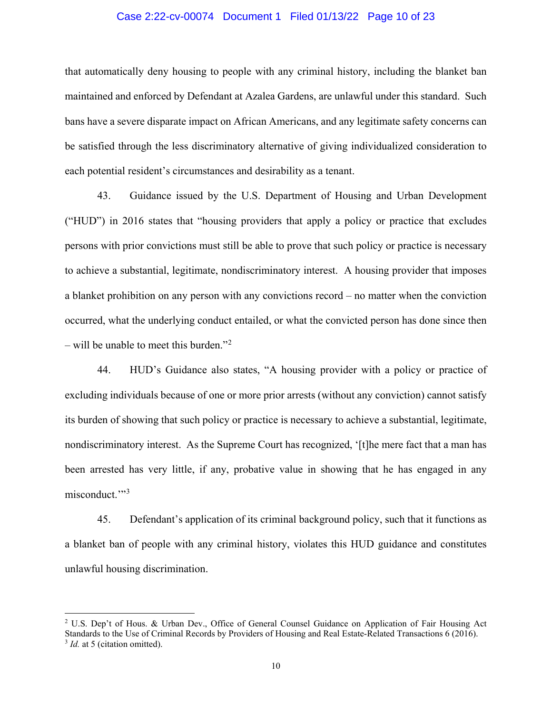### Case 2:22-cv-00074 Document 1 Filed 01/13/22 Page 10 of 23

that automatically deny housing to people with any criminal history, including the blanket ban maintained and enforced by Defendant at Azalea Gardens, are unlawful under this standard. Such bans have a severe disparate impact on African Americans, and any legitimate safety concerns can be satisfied through the less discriminatory alternative of giving individualized consideration to each potential resident's circumstances and desirability as a tenant.

43. Guidance issued by the U.S. Department of Housing and Urban Development ("HUD") in 2016 states that "housing providers that apply a policy or practice that excludes persons with prior convictions must still be able to prove that such policy or practice is necessary to achieve a substantial, legitimate, nondiscriminatory interest. A housing provider that imposes a blanket prohibition on any person with any convictions record – no matter when the conviction occurred, what the underlying conduct entailed, or what the convicted person has done since then – will be unable to meet this burden."<sup>[2](#page-9-0)</sup>

44. HUD's Guidance also states, "A housing provider with a policy or practice of excluding individuals because of one or more prior arrests (without any conviction) cannot satisfy its burden of showing that such policy or practice is necessary to achieve a substantial, legitimate, nondiscriminatory interest. As the Supreme Court has recognized, '[t]he mere fact that a man has been arrested has very little, if any, probative value in showing that he has engaged in any misconduct."<sup>[3](#page-9-1)</sup>

45. Defendant's application of its criminal background policy, such that it functions as a blanket ban of people with any criminal history, violates this HUD guidance and constitutes unlawful housing discrimination.

<span id="page-9-1"></span><span id="page-9-0"></span> <sup>2</sup> U.S. Dep't of Hous. & Urban Dev., Office of General Counsel Guidance on Application of Fair Housing Act Standards to the Use of Criminal Records by Providers of Housing and Real Estate-Related Transactions 6 (2016). <sup>3</sup> *Id.* at 5 (citation omitted).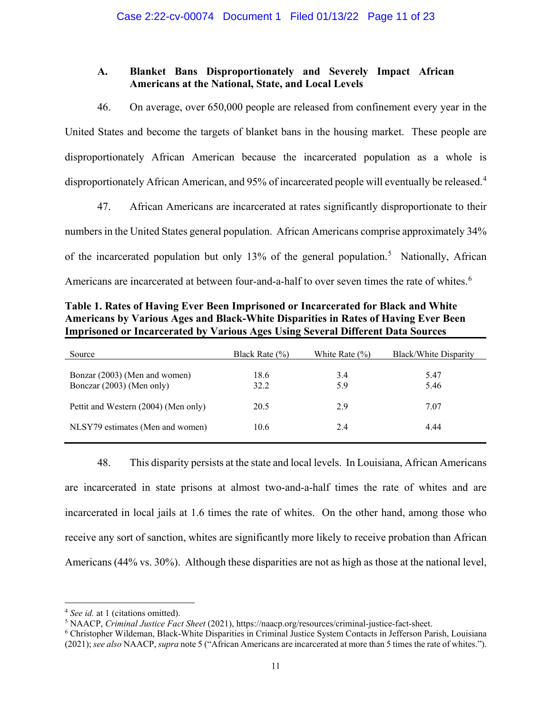# **A. Blanket Bans Disproportionately and Severely Impact African Americans at the National, State, and Local Levels**

46. On average, over 650,000 people are released from confinement every year in the United States and become the targets of blanket bans in the housing market. These people are disproportionately African American because the incarcerated population as a whole is disproportionately African American, and 95% of incarcerated people will eventually be released.<sup>[4](#page-10-0)</sup>

47. African Americans are incarcerated at rates significantly disproportionate to their numbers in the United States general population. African Americans comprise approximately 34% of the incarcerated population but only 13% of the general population.<sup>[5](#page-10-1)</sup> Nationally, African Americans are incarcerated at between four-and-a-half to over seven times the rate of whites.<sup>[6](#page-10-2)</sup>

| Table 1. Rates of Having Ever Been Imprisoned or Incarcerated for Black and White      |
|----------------------------------------------------------------------------------------|
| Americans by Various Ages and Black-White Disparities in Rates of Having Ever Been     |
| <b>Imprisoned or Incarcerated by Various Ages Using Several Different Data Sources</b> |

| Source                                                     | Black Rate $(\% )$ | White Rate $(\% )$ | Black/White Disparity |
|------------------------------------------------------------|--------------------|--------------------|-----------------------|
| Bonzar (2003) (Men and women)<br>Bonczar (2003) (Men only) | 18.6<br>32.2       | 3.4<br>5.9         | 5.47<br>5.46          |
| Pettit and Western (2004) (Men only)                       | 20.5               | 2.9                | 7.07                  |
| NLSY79 estimates (Men and women)                           | 10.6               | 2.4                | 4.44                  |

48. This disparity persists at the state and local levels. In Louisiana, African Americans are incarcerated in state prisons at almost two-and-a-half times the rate of whites and are incarcerated in local jails at 1.6 times the rate of whites. On the other hand, among those who receive any sort of sanction, whites are significantly more likely to receive probation than African Americans (44% vs. 30%). Although these disparities are not as high as those at the national level,

<span id="page-10-0"></span><sup>&</sup>lt;sup>4</sup> *See id.* at 1 (citations omitted).

<span id="page-10-1"></span><sup>5</sup> NAACP, *Criminal Justice Fact Sheet* (2021), https://naacp.org/resources/criminal-justice-fact-sheet.

<span id="page-10-2"></span><sup>6</sup> Christopher Wildeman, Black-White Disparities in Criminal Justice System Contacts in Jefferson Parish, Louisiana (2021); *see also* NAACP, *supra* note 5 ("African Americans are incarcerated at more than 5 times the rate of whites.").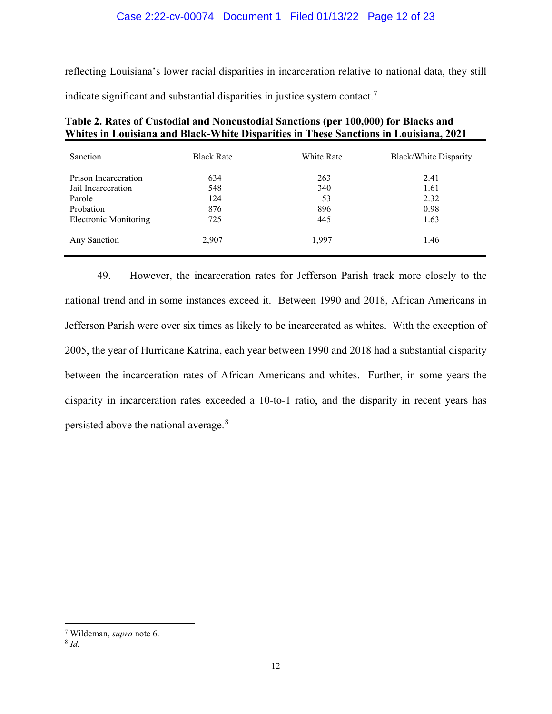reflecting Louisiana's lower racial disparities in incarceration relative to national data, they still

indicate significant and substantial disparities in justice system contact.[7](#page-11-0)

| Sanction                     | <b>Black Rate</b> | White Rate | Black/White Disparity |
|------------------------------|-------------------|------------|-----------------------|
| Prison Incarceration         | 634               | 263        | 2.41                  |
| Jail Incarceration           | 548               | 340        | 1.61                  |
| Parole                       | 124               | 53         | 2.32                  |
| Probation                    | 876               | 896        | 0.98                  |
| <b>Electronic Monitoring</b> | 725               | 445        | 1.63                  |
| Any Sanction                 | 2,907             | 1,997      | 1.46                  |

| Table 2. Rates of Custodial and Noncustodial Sanctions (per 100,000) for Blacks and   |
|---------------------------------------------------------------------------------------|
| Whites in Louisiana and Black-White Disparities in These Sanctions in Louisiana, 2021 |

49. However, the incarceration rates for Jefferson Parish track more closely to the national trend and in some instances exceed it. Between 1990 and 2018, African Americans in Jefferson Parish were over six times as likely to be incarcerated as whites. With the exception of 2005, the year of Hurricane Katrina, each year between 1990 and 2018 had a substantial disparity between the incarceration rates of African Americans and whites. Further, in some years the disparity in incarceration rates exceeded a 10-to-1 ratio, and the disparity in recent years has persisted above the national average.[8](#page-11-1)

<span id="page-11-1"></span><span id="page-11-0"></span> <sup>7</sup> Wildeman, *supra* note 6.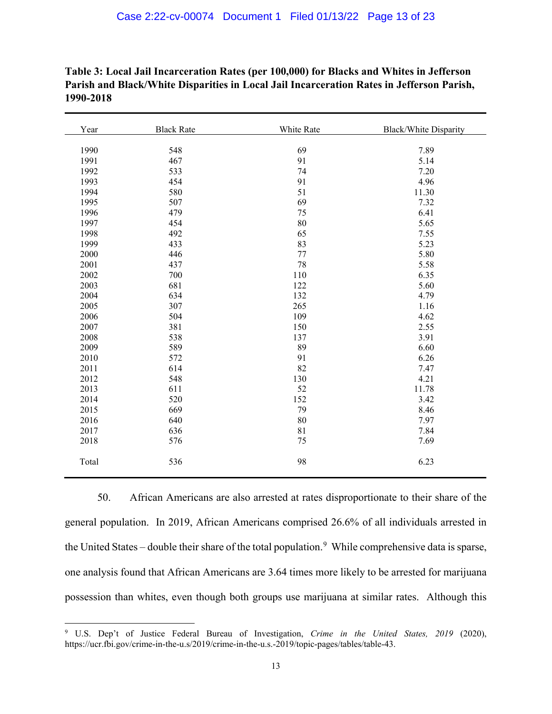| Year  | <b>Black Rate</b> | White Rate | <b>Black/White Disparity</b> |
|-------|-------------------|------------|------------------------------|
|       |                   |            |                              |
| 1990  | 548               | 69         | 7.89                         |
| 1991  | 467               | 91         | 5.14                         |
| 1992  | 533               | 74         | 7.20                         |
| 1993  | 454               | 91         | 4.96                         |
| 1994  | 580               | 51         | 11.30                        |
| 1995  | 507               | 69         | 7.32                         |
| 1996  | 479               | 75         | 6.41                         |
| 1997  | 454               | 80         | 5.65                         |
| 1998  | 492               | 65         | 7.55                         |
| 1999  | 433               | 83         | 5.23                         |
| 2000  | 446               | 77         | 5.80                         |
| 2001  | 437               | 78         | 5.58                         |
| 2002  | 700               | 110        | 6.35                         |
| 2003  | 681               | 122        | 5.60                         |
| 2004  | 634               | 132        | 4.79                         |
| 2005  | 307               | 265        | 1.16                         |
| 2006  | 504               | 109        | 4.62                         |
| 2007  | 381               | 150        | 2.55                         |
| 2008  | 538               | 137        | 3.91                         |
| 2009  | 589               | 89         | 6.60                         |
| 2010  | 572               | 91         | 6.26                         |
| 2011  | 614               | 82         | 7.47                         |
| 2012  | 548               | 130        | 4.21                         |
| 2013  | 611               | 52         | 11.78                        |
| 2014  | 520               | 152        | 3.42                         |
| 2015  | 669               | 79         | 8.46                         |
| 2016  | 640               | 80         | 7.97                         |
| 2017  | 636               | 81         | 7.84                         |
| 2018  | 576               | 75         | 7.69                         |
| Total | 536               | 98         | 6.23                         |

**Table 3: Local Jail Incarceration Rates (per 100,000) for Blacks and Whites in Jefferson Parish and Black/White Disparities in Local Jail Incarceration Rates in Jefferson Parish, 1990-2018**

50. African Americans are also arrested at rates disproportionate to their share of the general population. In 2019, African Americans comprised 26.6% of all individuals arrested in the United States – double their share of the total population.<sup>[9](#page-12-0)</sup> While comprehensive data is sparse, one analysis found that African Americans are 3.64 times more likely to be arrested for marijuana possession than whites, even though both groups use marijuana at similar rates. Although this

<span id="page-12-0"></span> U.S. Dep't of Justice Federal Bureau of Investigation, *Crime in the United States, 2019* (2020), https://ucr.fbi.gov/crime-in-the-u.s/2019/crime-in-the-u.s.-2019/topic-pages/tables/table-43.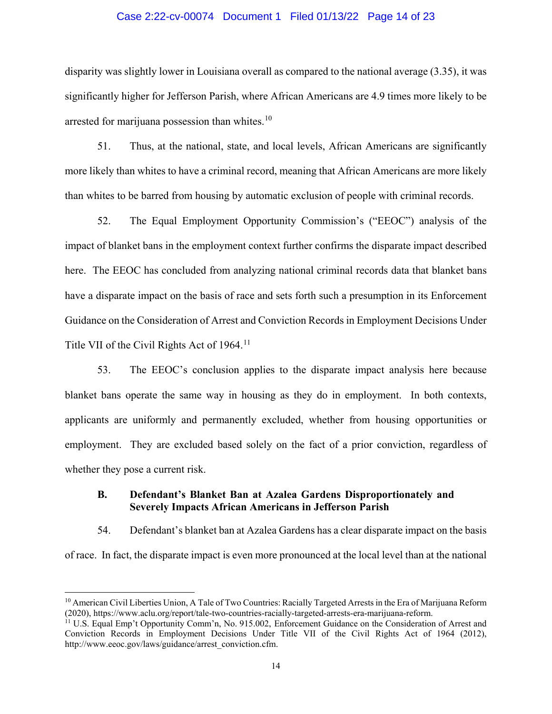### Case 2:22-cv-00074 Document 1 Filed 01/13/22 Page 14 of 23

disparity was slightly lower in Louisiana overall as compared to the national average (3.35), it was significantly higher for Jefferson Parish, where African Americans are 4.9 times more likely to be arrested for marijuana possession than whites. $10$ 

51. Thus, at the national, state, and local levels, African Americans are significantly more likely than whites to have a criminal record, meaning that African Americans are more likely than whites to be barred from housing by automatic exclusion of people with criminal records.

52. The Equal Employment Opportunity Commission's ("EEOC") analysis of the impact of blanket bans in the employment context further confirms the disparate impact described here. The EEOC has concluded from analyzing national criminal records data that blanket bans have a disparate impact on the basis of race and sets forth such a presumption in its Enforcement Guidance on the Consideration of Arrest and Conviction Records in Employment Decisions Under Title VII of the Civil Rights Act of 1964.<sup>[11](#page-13-1)</sup>

53. The EEOC's conclusion applies to the disparate impact analysis here because blanket bans operate the same way in housing as they do in employment. In both contexts, applicants are uniformly and permanently excluded, whether from housing opportunities or employment. They are excluded based solely on the fact of a prior conviction, regardless of whether they pose a current risk.

# **B. Defendant's Blanket Ban at Azalea Gardens Disproportionately and Severely Impacts African Americans in Jefferson Parish**

54. Defendant's blanket ban at Azalea Gardens has a clear disparate impact on the basis of race. In fact, the disparate impact is even more pronounced at the local level than at the national

<span id="page-13-0"></span> $10$  American Civil Liberties Union, A Tale of Two Countries: Racially Targeted Arrests in the Era of Marijuana Reform (2020), https://www.aclu.org/report/tale-two-countries-racially-targeted-arrests-era-marijuana-reform.

<span id="page-13-1"></span><sup>&</sup>lt;sup>11</sup> U.S. Equal Emp't Opportunity Comm'n, No. 915.002, Enforcement Guidance on the Consideration of Arrest and Conviction Records in Employment Decisions Under Title VII of the Civil Rights Act of 1964 (2012), http://www.eeoc.gov/laws/guidance/arrest\_conviction.cfm.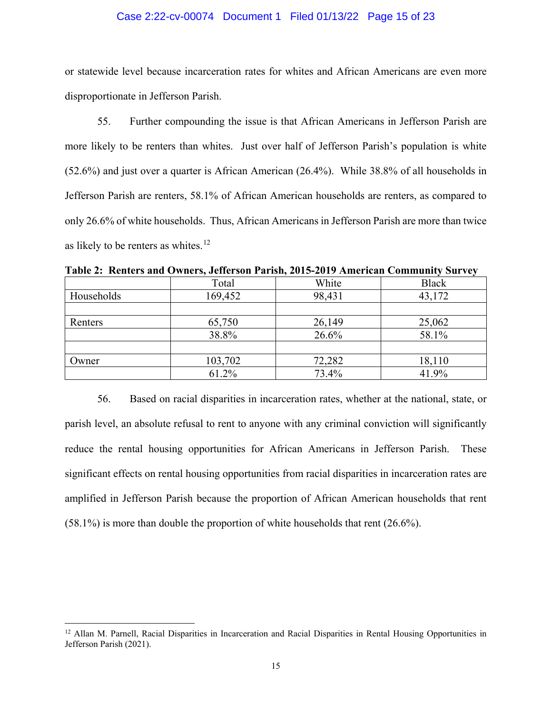### Case 2:22-cv-00074 Document 1 Filed 01/13/22 Page 15 of 23

or statewide level because incarceration rates for whites and African Americans are even more disproportionate in Jefferson Parish.

55. Further compounding the issue is that African Americans in Jefferson Parish are more likely to be renters than whites. Just over half of Jefferson Parish's population is white (52.6%) and just over a quarter is African American (26.4%). While 38.8% of all households in Jefferson Parish are renters, 58.1% of African American households are renters, as compared to only 26.6% of white households. Thus, African Americans in Jefferson Parish are more than twice as likely to be renters as whites.<sup>[12](#page-14-0)</sup>

|            | Total   | White  | <b>Black</b> |
|------------|---------|--------|--------------|
| Households | 169,452 | 98,431 | 43,172       |
|            |         |        |              |
| Renters    | 65,750  | 26,149 | 25,062       |
|            | 38.8%   | 26.6%  | 58.1%        |
|            |         |        |              |
| Owner      | 103,702 | 72,282 | 18,110       |
|            | 61.2%   | 73.4%  | 41.9%        |

**Table 2: Renters and Owners, Jefferson Parish, 2015-2019 American Community Survey**

56. Based on racial disparities in incarceration rates, whether at the national, state, or parish level, an absolute refusal to rent to anyone with any criminal conviction will significantly reduce the rental housing opportunities for African Americans in Jefferson Parish. These significant effects on rental housing opportunities from racial disparities in incarceration rates are amplified in Jefferson Parish because the proportion of African American households that rent (58.1%) is more than double the proportion of white households that rent (26.6%).

<span id="page-14-0"></span><sup>&</sup>lt;sup>12</sup> Allan M. Parnell, Racial Disparities in Incarceration and Racial Disparities in Rental Housing Opportunities in Jefferson Parish (2021).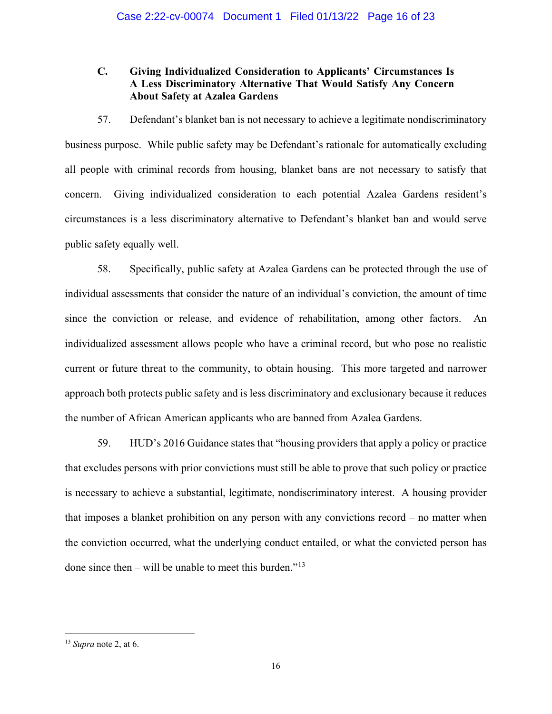# **C. Giving Individualized Consideration to Applicants' Circumstances Is A Less Discriminatory Alternative That Would Satisfy Any Concern About Safety at Azalea Gardens**

57. Defendant's blanket ban is not necessary to achieve a legitimate nondiscriminatory business purpose. While public safety may be Defendant's rationale for automatically excluding all people with criminal records from housing, blanket bans are not necessary to satisfy that concern. Giving individualized consideration to each potential Azalea Gardens resident's circumstances is a less discriminatory alternative to Defendant's blanket ban and would serve public safety equally well.

58. Specifically, public safety at Azalea Gardens can be protected through the use of individual assessments that consider the nature of an individual's conviction, the amount of time since the conviction or release, and evidence of rehabilitation, among other factors. An individualized assessment allows people who have a criminal record, but who pose no realistic current or future threat to the community, to obtain housing. This more targeted and narrower approach both protects public safety and is less discriminatory and exclusionary because it reduces the number of African American applicants who are banned from Azalea Gardens.

59. HUD's 2016 Guidance states that "housing providers that apply a policy or practice that excludes persons with prior convictions must still be able to prove that such policy or practice is necessary to achieve a substantial, legitimate, nondiscriminatory interest. A housing provider that imposes a blanket prohibition on any person with any convictions record – no matter when the conviction occurred, what the underlying conduct entailed, or what the convicted person has done since then – will be unable to meet this burden."<sup>[13](#page-15-0)</sup>

<span id="page-15-0"></span> <sup>13</sup> *Supra* note 2, at 6.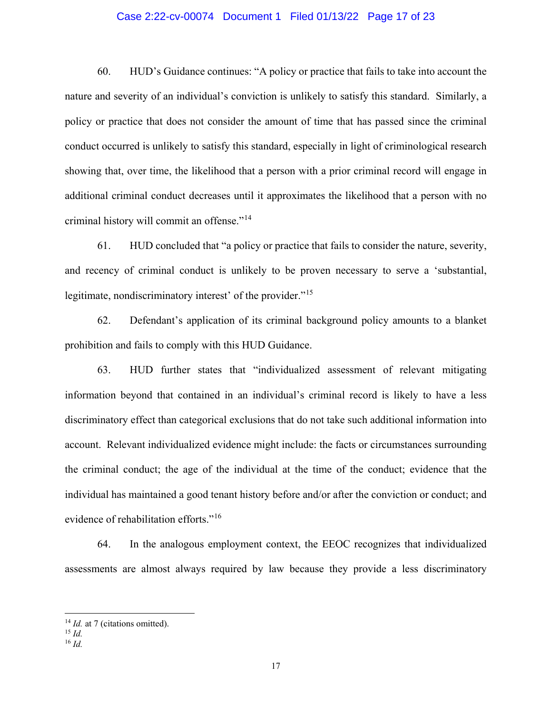### Case 2:22-cv-00074 Document 1 Filed 01/13/22 Page 17 of 23

60. HUD's Guidance continues: "A policy or practice that fails to take into account the nature and severity of an individual's conviction is unlikely to satisfy this standard. Similarly, a policy or practice that does not consider the amount of time that has passed since the criminal conduct occurred is unlikely to satisfy this standard, especially in light of criminological research showing that, over time, the likelihood that a person with a prior criminal record will engage in additional criminal conduct decreases until it approximates the likelihood that a person with no criminal history will commit an offense."<sup>[14](#page-16-0)</sup>

61. HUD concluded that "a policy or practice that fails to consider the nature, severity, and recency of criminal conduct is unlikely to be proven necessary to serve a 'substantial, legitimate, nondiscriminatory interest' of the provider."<sup>[15](#page-16-1)</sup>

62. Defendant's application of its criminal background policy amounts to a blanket prohibition and fails to comply with this HUD Guidance.

63. HUD further states that "individualized assessment of relevant mitigating information beyond that contained in an individual's criminal record is likely to have a less discriminatory effect than categorical exclusions that do not take such additional information into account. Relevant individualized evidence might include: the facts or circumstances surrounding the criminal conduct; the age of the individual at the time of the conduct; evidence that the individual has maintained a good tenant history before and/or after the conviction or conduct; and evidence of rehabilitation efforts."<sup>[16](#page-16-2)</sup>

64. In the analogous employment context, the EEOC recognizes that individualized assessments are almost always required by law because they provide a less discriminatory

<sup>&</sup>lt;sup>14</sup> *Id.* at 7 (citations omitted).

<span id="page-16-1"></span><span id="page-16-0"></span><sup>15</sup> *Id.*

<span id="page-16-2"></span><sup>16</sup> *Id.*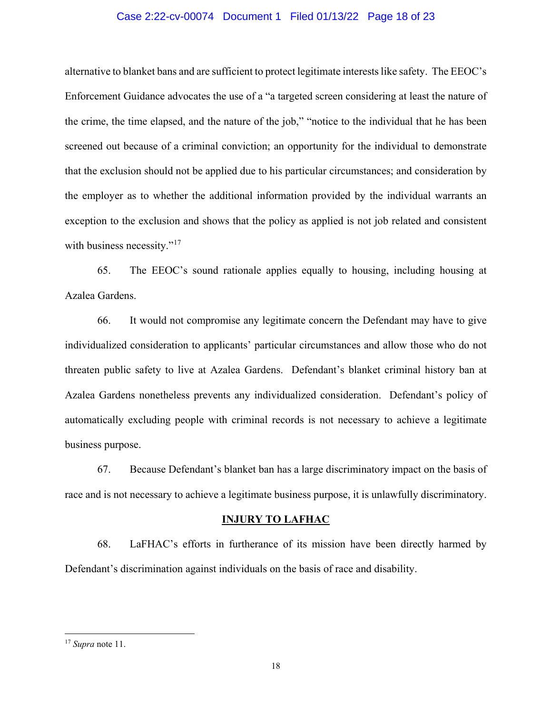### Case 2:22-cv-00074 Document 1 Filed 01/13/22 Page 18 of 23

alternative to blanket bans and are sufficient to protect legitimate interests like safety. The EEOC's Enforcement Guidance advocates the use of a "a targeted screen considering at least the nature of the crime, the time elapsed, and the nature of the job," "notice to the individual that he has been screened out because of a criminal conviction; an opportunity for the individual to demonstrate that the exclusion should not be applied due to his particular circumstances; and consideration by the employer as to whether the additional information provided by the individual warrants an exception to the exclusion and shows that the policy as applied is not job related and consistent with business necessity."<sup>[17](#page-17-0)</sup>

65. The EEOC's sound rationale applies equally to housing, including housing at Azalea Gardens.

66. It would not compromise any legitimate concern the Defendant may have to give individualized consideration to applicants' particular circumstances and allow those who do not threaten public safety to live at Azalea Gardens. Defendant's blanket criminal history ban at Azalea Gardens nonetheless prevents any individualized consideration. Defendant's policy of automatically excluding people with criminal records is not necessary to achieve a legitimate business purpose.

67. Because Defendant's blanket ban has a large discriminatory impact on the basis of race and is not necessary to achieve a legitimate business purpose, it is unlawfully discriminatory.

#### **INJURY TO LAFHAC**

68. LaFHAC's efforts in furtherance of its mission have been directly harmed by Defendant's discrimination against individuals on the basis of race and disability.

<span id="page-17-0"></span> <sup>17</sup> *Supra* note 11.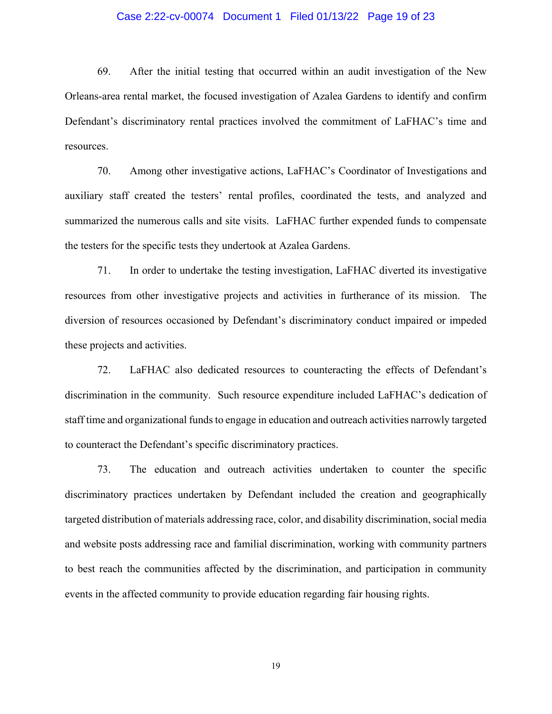### Case 2:22-cv-00074 Document 1 Filed 01/13/22 Page 19 of 23

69. After the initial testing that occurred within an audit investigation of the New Orleans-area rental market, the focused investigation of Azalea Gardens to identify and confirm Defendant's discriminatory rental practices involved the commitment of LaFHAC's time and resources.

70. Among other investigative actions, LaFHAC's Coordinator of Investigations and auxiliary staff created the testers' rental profiles, coordinated the tests, and analyzed and summarized the numerous calls and site visits. LaFHAC further expended funds to compensate the testers for the specific tests they undertook at Azalea Gardens.

71. In order to undertake the testing investigation, LaFHAC diverted its investigative resources from other investigative projects and activities in furtherance of its mission. The diversion of resources occasioned by Defendant's discriminatory conduct impaired or impeded these projects and activities.

72. LaFHAC also dedicated resources to counteracting the effects of Defendant's discrimination in the community. Such resource expenditure included LaFHAC's dedication of staff time and organizational funds to engage in education and outreach activities narrowly targeted to counteract the Defendant's specific discriminatory practices.

73. The education and outreach activities undertaken to counter the specific discriminatory practices undertaken by Defendant included the creation and geographically targeted distribution of materials addressing race, color, and disability discrimination, social media and website posts addressing race and familial discrimination, working with community partners to best reach the communities affected by the discrimination, and participation in community events in the affected community to provide education regarding fair housing rights.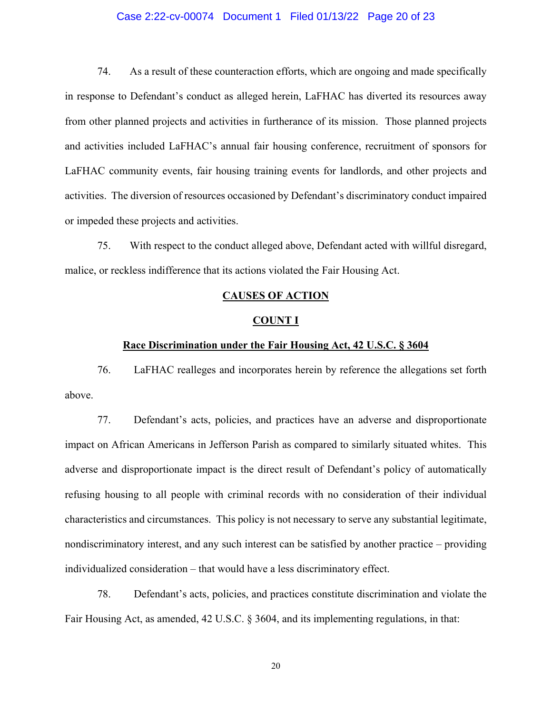### Case 2:22-cv-00074 Document 1 Filed 01/13/22 Page 20 of 23

74. As a result of these counteraction efforts, which are ongoing and made specifically in response to Defendant's conduct as alleged herein, LaFHAC has diverted its resources away from other planned projects and activities in furtherance of its mission. Those planned projects and activities included LaFHAC's annual fair housing conference, recruitment of sponsors for LaFHAC community events, fair housing training events for landlords, and other projects and activities. The diversion of resources occasioned by Defendant's discriminatory conduct impaired or impeded these projects and activities.

75. With respect to the conduct alleged above, Defendant acted with willful disregard, malice, or reckless indifference that its actions violated the Fair Housing Act.

#### **CAUSES OF ACTION**

#### **COUNT I**

#### **Race Discrimination under the Fair Housing Act, 42 U.S.C. § 3604**

76. LaFHAC realleges and incorporates herein by reference the allegations set forth above.

77. Defendant's acts, policies, and practices have an adverse and disproportionate impact on African Americans in Jefferson Parish as compared to similarly situated whites. This adverse and disproportionate impact is the direct result of Defendant's policy of automatically refusing housing to all people with criminal records with no consideration of their individual characteristics and circumstances. This policy is not necessary to serve any substantial legitimate, nondiscriminatory interest, and any such interest can be satisfied by another practice – providing individualized consideration – that would have a less discriminatory effect.

78. Defendant's acts, policies, and practices constitute discrimination and violate the Fair Housing Act, as amended, 42 U.S.C. § 3604, and its implementing regulations, in that: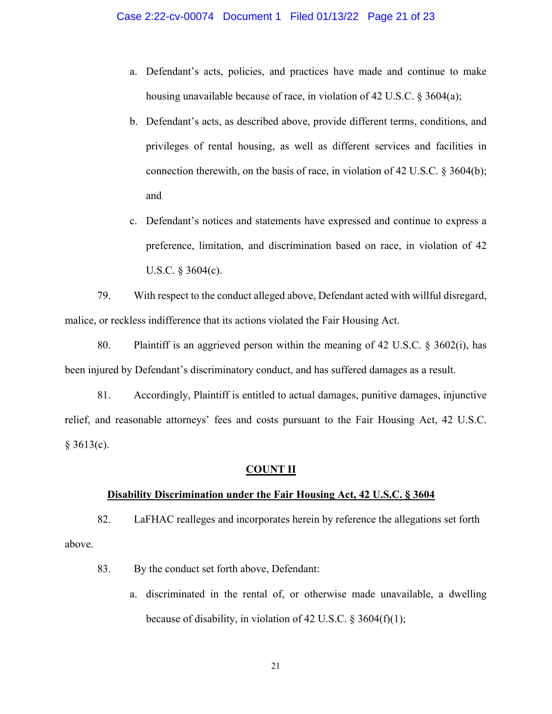- a. Defendant's acts, policies, and practices have made and continue to make housing unavailable because of race, in violation of 42 U.S.C. § 3604(a);
- b. Defendant's acts, as described above, provide different terms, conditions, and privileges of rental housing, as well as different services and facilities in connection therewith, on the basis of race, in violation of 42 U.S.C.  $\S 3604(b)$ ; and
- c. Defendant's notices and statements have expressed and continue to express a preference, limitation, and discrimination based on race, in violation of 42 U.S.C. § 3604(c).

79. With respect to the conduct alleged above, Defendant acted with willful disregard, malice, or reckless indifference that its actions violated the Fair Housing Act.

80. Plaintiff is an aggrieved person within the meaning of 42 U.S.C. § 3602(i), has been injured by Defendant's discriminatory conduct, and has suffered damages as a result.

81. Accordingly, Plaintiff is entitled to actual damages, punitive damages, injunctive relief, and reasonable attorneys' fees and costs pursuant to the Fair Housing Act, 42 U.S.C.  $§$  3613(c).

### **COUNT II**

### **Disability Discrimination under the Fair Housing Act, 42 U.S.C. § 3604**

82. LaFHAC realleges and incorporates herein by reference the allegations set forth above.

- 83. By the conduct set forth above, Defendant:
	- a. discriminated in the rental of, or otherwise made unavailable, a dwelling because of disability, in violation of 42 U.S.C. § 3604(f)(1);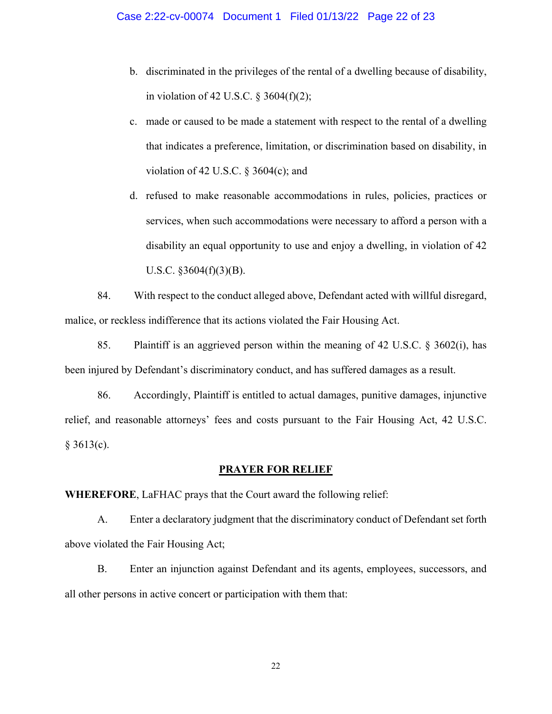- b. discriminated in the privileges of the rental of a dwelling because of disability, in violation of 42 U.S.C.  $\S$  3604(f)(2);
- c. made or caused to be made a statement with respect to the rental of a dwelling that indicates a preference, limitation, or discrimination based on disability, in violation of 42 U.S.C.  $\S$  3604(c); and
- d. refused to make reasonable accommodations in rules, policies, practices or services, when such accommodations were necessary to afford a person with a disability an equal opportunity to use and enjoy a dwelling, in violation of 42 U.S.C.  $§3604(f)(3)(B)$ .

84. With respect to the conduct alleged above, Defendant acted with willful disregard, malice, or reckless indifference that its actions violated the Fair Housing Act.

85. Plaintiff is an aggrieved person within the meaning of 42 U.S.C. § 3602(i), has been injured by Defendant's discriminatory conduct, and has suffered damages as a result.

86. Accordingly, Plaintiff is entitled to actual damages, punitive damages, injunctive relief, and reasonable attorneys' fees and costs pursuant to the Fair Housing Act, 42 U.S.C.  $§ 3613(c).$ 

### **PRAYER FOR RELIEF**

**WHEREFORE**, LaFHAC prays that the Court award the following relief:

A. Enter a declaratory judgment that the discriminatory conduct of Defendant set forth above violated the Fair Housing Act;

B. Enter an injunction against Defendant and its agents, employees, successors, and all other persons in active concert or participation with them that: